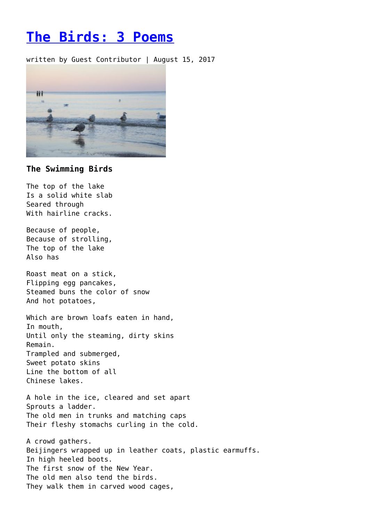## **[The Birds: 3 Poems](https://entropymag.org/the-birds-3-poems-3/)**

written by Guest Contributor | August 15, 2017



## **The Swimming Birds**

The top of the lake Is a solid white slab Seared through With hairline cracks.

Because of people, Because of strolling, The top of the lake Also has

Roast meat on a stick, Flipping egg pancakes, Steamed buns the color of snow And hot potatoes,

Which are brown loafs eaten in hand, In mouth, Until only the steaming, dirty skins Remain. Trampled and submerged, Sweet potato skins Line the bottom of all Chinese lakes.

A hole in the ice, cleared and set apart Sprouts a ladder. The old men in trunks and matching caps Their fleshy stomachs curling in the cold.

A crowd gathers. Beijingers wrapped up in leather coats, plastic earmuffs. In high heeled boots. The first snow of the New Year. The old men also tend the birds. They walk them in carved wood cages,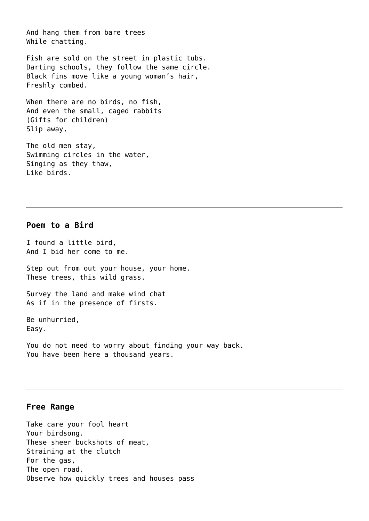And hang them from bare trees While chatting.

Fish are sold on the street in plastic tubs. Darting schools, they follow the same circle. Black fins move like a young woman's hair, Freshly combed.

When there are no birds, no fish, And even the small, caged rabbits (Gifts for children) Slip away,

The old men stay, Swimming circles in the water, Singing as they thaw, Like birds.

## **Poem to a Bird**

I found a little bird, And I bid her come to me.

Step out from out your house, your home. These trees, this wild grass.

Survey the land and make wind chat As if in the presence of firsts.

Be unhurried, Easy.

You do not need to worry about finding your way back. You have been here a thousand years.

## **Free Range**

Take care your fool heart Your birdsong. These sheer buckshots of meat, Straining at the clutch For the gas, The open road. Observe how quickly trees and houses pass